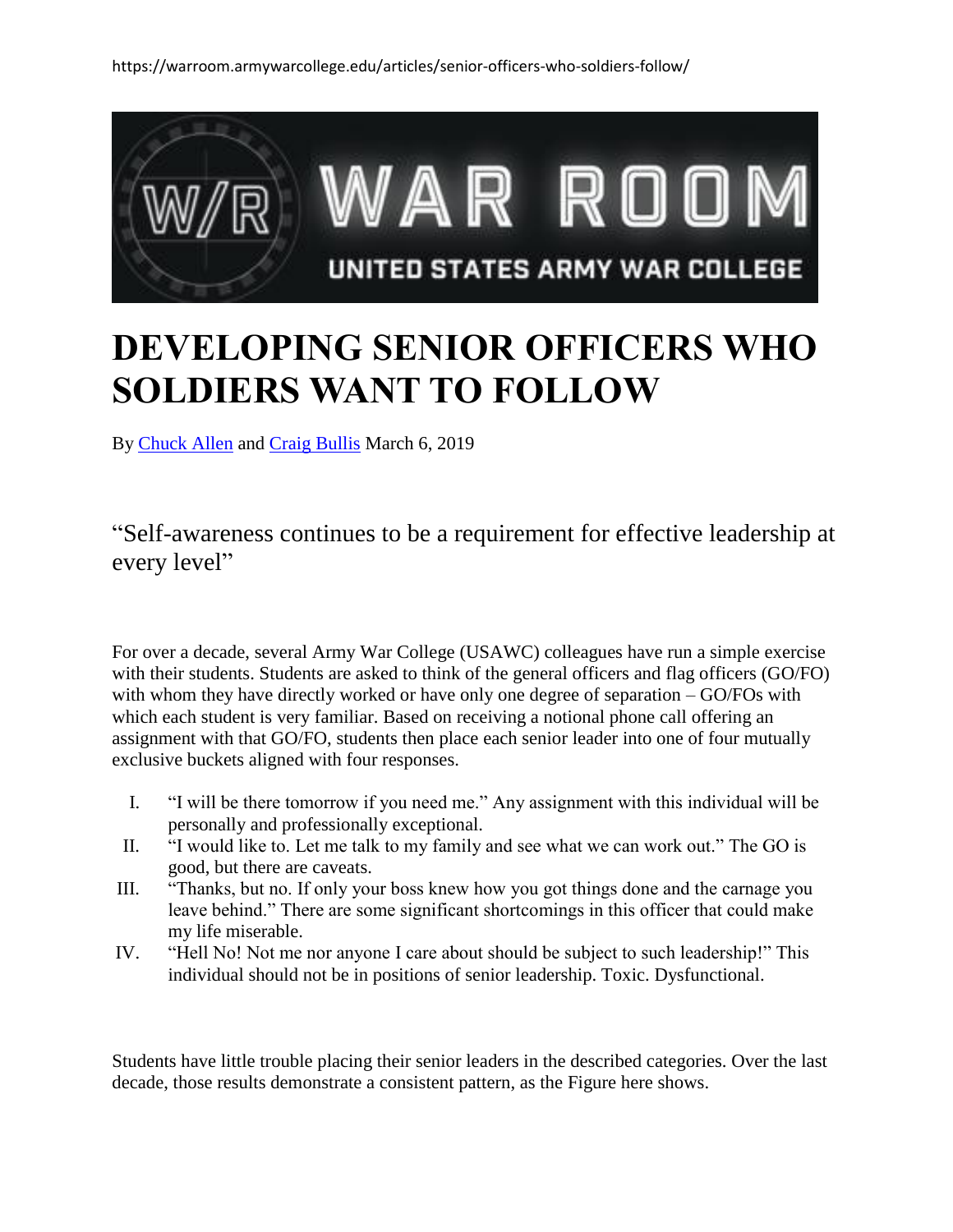

# **DEVELOPING SENIOR OFFICERS WHO SOLDIERS WANT TO FOLLOW**

By [Chuck Allen](https://warroom.armywarcollege.edu/author/chuck-allen/) and [Craig Bullis](https://warroom.armywarcollege.edu/author/craig-bullis/) March 6, 2019

### "Self-awareness continues to be a requirement for effective leadership at every level"

For over a decade, several Army War College (USAWC) colleagues have run a simple exercise with their students. Students are asked to think of the general officers and flag officers (GO/FO) with whom they have directly worked or have only one degree of separation – GO/FOs with which each student is very familiar. Based on receiving a notional phone call offering an assignment with that GO/FO, students then place each senior leader into one of four mutually exclusive buckets aligned with four responses.

- I. "I will be there tomorrow if you need me." Any assignment with this individual will be personally and professionally exceptional.
- II. "I would like to. Let me talk to my family and see what we can work out." The GO is good, but there are caveats.
- III. "Thanks, but no. If only your boss knew how you got things done and the carnage you leave behind." There are some significant shortcomings in this officer that could make my life miserable.
- IV. "Hell No! Not me nor anyone I care about should be subject to such leadership!" This individual should not be in positions of senior leadership. Toxic. Dysfunctional.

Students have little trouble placing their senior leaders in the described categories. Over the last decade, those results demonstrate a consistent pattern, as the Figure here shows.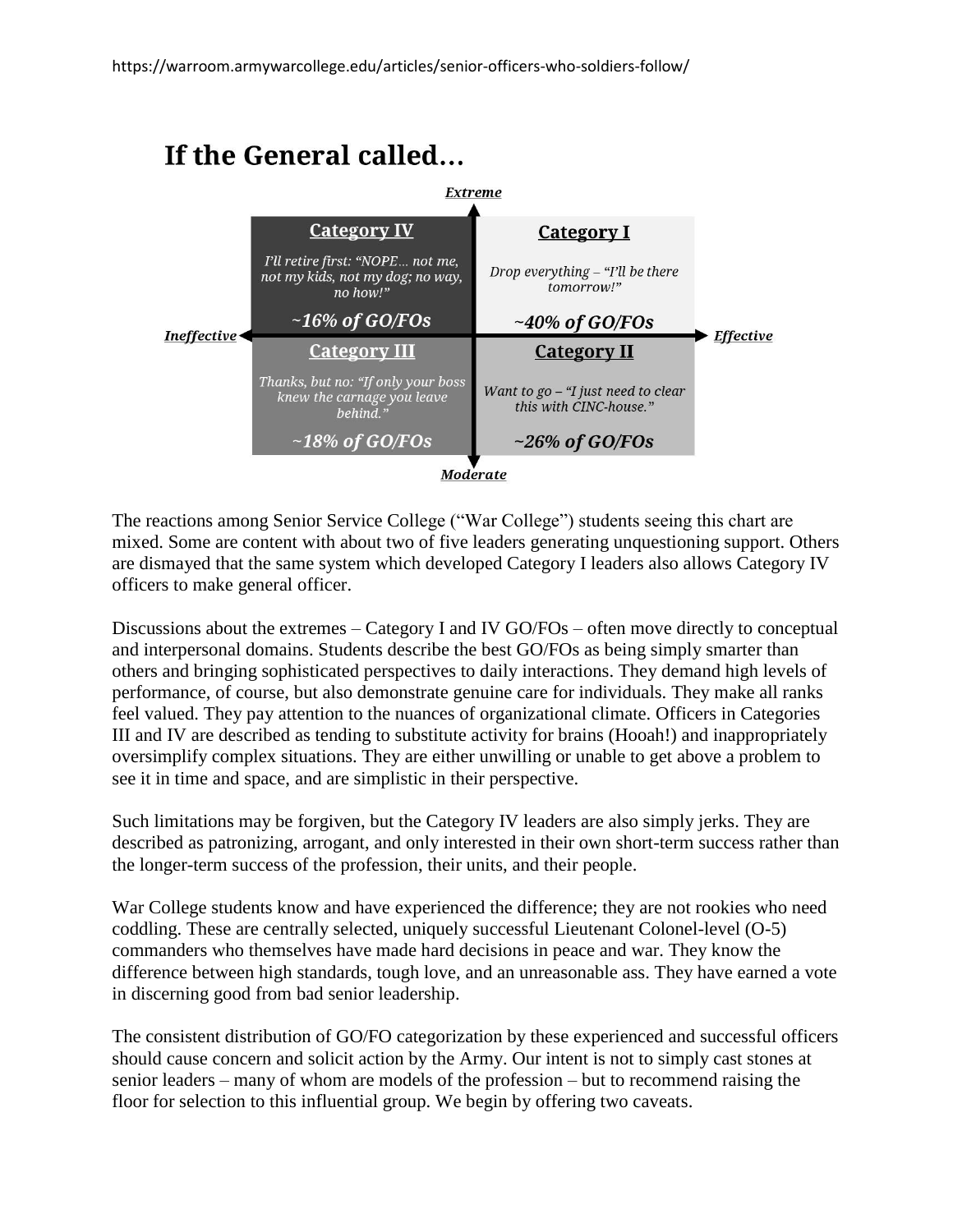## If the General called...



The reactions among Senior Service College ("War College") students seeing this chart are mixed. Some are content with about two of five leaders generating unquestioning support. Others are dismayed that the same system which developed Category I leaders also allows Category IV officers to make general officer.

Discussions about the extremes – Category I and IV GO/FOs – often move directly to conceptual and interpersonal domains. Students describe the best GO/FOs as being simply smarter than others and bringing sophisticated perspectives to daily interactions. They demand high levels of performance, of course, but also demonstrate genuine care for individuals. They make all ranks feel valued. They pay attention to the nuances of organizational climate. Officers in Categories III and IV are described as tending to substitute activity for brains (Hooah!) and inappropriately oversimplify complex situations. They are either unwilling or unable to get above a problem to see it in time and space, and are simplistic in their perspective.

Such limitations may be forgiven, but the Category IV leaders are also simply jerks. They are described as patronizing, arrogant, and only interested in their own short-term success rather than the longer-term success of the profession, their units, and their people.

War College students know and have experienced the difference; they are not rookies who need coddling. These are centrally selected, uniquely successful Lieutenant Colonel-level (O-5) commanders who themselves have made hard decisions in peace and war. They know the difference between high standards, tough love, and an unreasonable ass. They have earned a vote in discerning good from bad senior leadership.

The consistent distribution of GO/FO categorization by these experienced and successful officers should cause concern and solicit action by the Army. Our intent is not to simply cast stones at senior leaders – many of whom are models of the profession – but to recommend raising the floor for selection to this influential group. We begin by offering two caveats.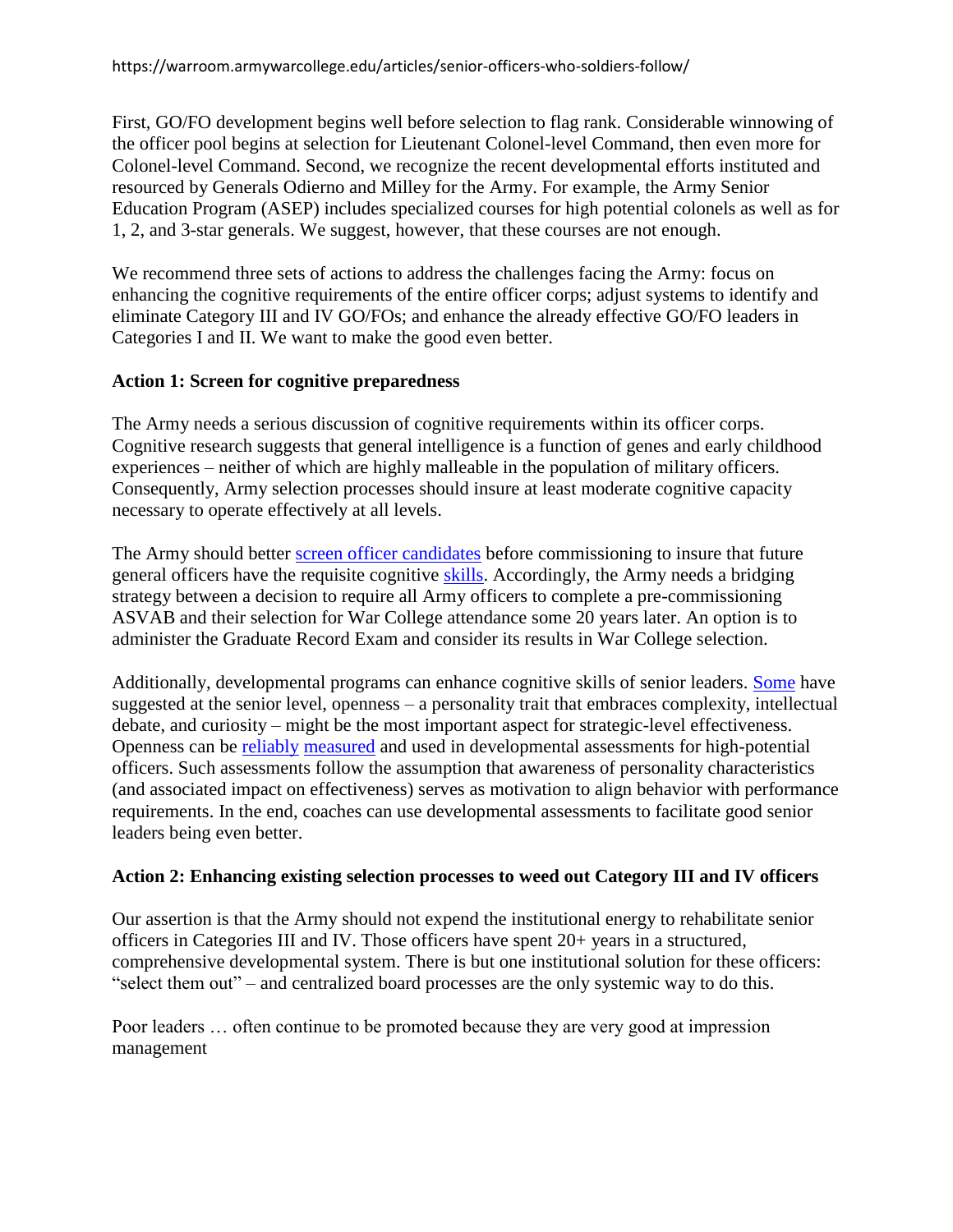First, GO/FO development begins well before selection to flag rank. Considerable winnowing of the officer pool begins at selection for Lieutenant Colonel-level Command, then even more for Colonel-level Command. Second, we recognize the recent developmental efforts instituted and resourced by Generals Odierno and Milley for the Army. For example, the Army Senior Education Program (ASEP) includes specialized courses for high potential colonels as well as for 1, 2, and 3-star generals. We suggest, however, that these courses are not enough.

We recommend three sets of actions to address the challenges facing the Army: focus on enhancing the cognitive requirements of the entire officer corps; adjust systems to identify and eliminate Category III and IV GO/FOs; and enhance the already effective GO/FO leaders in Categories I and II. We want to make the good even better.

#### **Action 1: Screen for cognitive preparedness**

The Army needs a serious discussion of cognitive requirements within its officer corps. Cognitive research suggests that general intelligence is a function of genes and early childhood experiences – neither of which are highly malleable in the population of military officers. Consequently, Army selection processes should insure at least moderate cognitive capacity necessary to operate effectively at all levels.

The Army should better [screen officer candidates](https://www.dtic.mil/DTICOnline/citation.search?docId=AD1038674&collectionId=tr&index=64&format=1f&contentType=HTML) before commissioning to insure that future general officers have the requisite cognitive [skills.](https://warontherocks.com/2016/04/americas-army-measuring-quality-soldiers-and-quality-officers/) Accordingly, the Army needs a bridging strategy between a decision to require all Army officers to complete a pre-commissioning ASVAB and their selection for War College attendance some 20 years later. An option is to administer the Graduate Record Exam and consider its results in War College selection.

Additionally, developmental programs can enhance cognitive skills of senior leaders. [Some](https://books.google.com/books?id=SrsHuAAACAAJ&dq=strategic+leadership,+jacobs&hl=en&sa=X&ved=2ahUKEwj0xvO-4ZjgAhVET6wKHd1_B5YQ6AEwAHoECAAQAQ) have suggested at the senior level, openness – a personality trait that embraces complexity, intellectual debate, and curiosity – might be the most important aspect for strategic-level effectiveness. Openness can be [reliably](https://psycnet.apa.org/buy/1992-25763-001) [measured](https://www.hoganassessments.com/) and used in developmental assessments for high-potential officers. Such assessments follow the assumption that awareness of personality characteristics (and associated impact on effectiveness) serves as motivation to align behavior with performance requirements. In the end, coaches can use developmental assessments to facilitate good senior leaders being even better.

#### **Action 2: Enhancing existing selection processes to weed out Category III and IV officers**

Our assertion is that the Army should not expend the institutional energy to rehabilitate senior officers in Categories III and IV. Those officers have spent 20+ years in a structured, comprehensive developmental system. There is but one institutional solution for these officers: "select them out" – and centralized board processes are the only systemic way to do this.

Poor leaders … often continue to be promoted because they are very good at impression management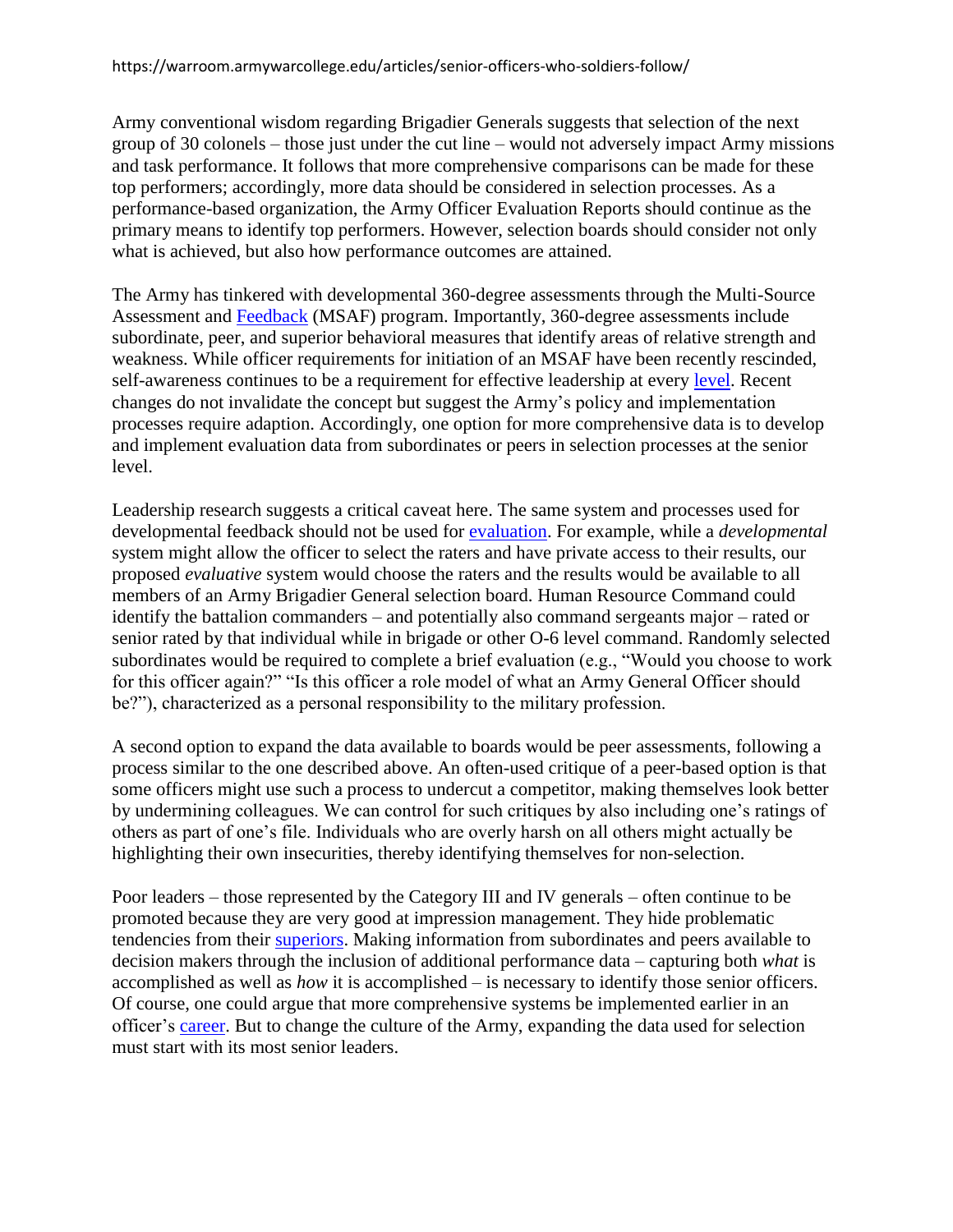Army conventional wisdom regarding Brigadier Generals suggests that selection of the next group of 30 colonels – those just under the cut line – would not adversely impact Army missions and task performance. It follows that more comprehensive comparisons can be made for these top performers; accordingly, more data should be considered in selection processes. As a performance-based organization, the Army Officer Evaluation Reports should continue as the primary means to identify top performers. However, selection boards should consider not only what is achieved, but also how performance outcomes are attained.

The Army has tinkered with developmental 360-degree assessments through the Multi-Source Assessment and [Feedback](https://msaf.army.mil/My360/VIC/MsafTrainingMaterials.aspx) (MSAF) program. Importantly, 360-degree assessments include subordinate, peer, and superior behavioral measures that identify areas of relative strength and weakness. While officer requirements for initiation of an MSAF have been recently rescinded, self-awareness continues to be a requirement for effective leadership at every [level.](https://books.google.com/books?id=ibQTAAAAQBAJ&printsec=frontcover&dq=primal+leadership&hl=en&sa=X&ved=2ahUKEwjontuV55jgAhVIYK0KHcTiD2wQ6wEwAHoECAAQAQ#v=onepage&q=primal%20leadership&f=false) Recent changes do not invalidate the concept but suggest the Army's policy and implementation processes require adaption. Accordingly, one option for more comprehensive data is to develop and implement evaluation data from subordinates or peers in selection processes at the senior level.

Leadership research suggests a critical caveat here. The same system and processes used for developmental feedback should not be used for [evaluation.](https://books.google.com/books?id=gOs2DwAAQBAJ&printsec=frontcover&dq=Should+360-degree+feedback+be+used&hl=en&sa=X&ved=2ahUKEwjtgZ-Y45jgAhVCRKwKHWvTDOEQ6AEwAHoECAAQAg#v=onepage&q=Should%20360-degree%20feedback%20be%20used&f=false) For example, while a *developmental* system might allow the officer to select the raters and have private access to their results, our proposed *evaluative* system would choose the raters and the results would be available to all members of an Army Brigadier General selection board. Human Resource Command could identify the battalion commanders – and potentially also command sergeants major – rated or senior rated by that individual while in brigade or other O-6 level command. Randomly selected subordinates would be required to complete a brief evaluation (e.g., "Would you choose to work for this officer again?" "Is this officer a role model of what an Army General Officer should be?"), characterized as a personal responsibility to the military profession.

A second option to expand the data available to boards would be peer assessments, following a process similar to the one described above. An often-used critique of a peer-based option is that some officers might use such a process to undercut a competitor, making themselves look better by undermining colleagues. We can control for such critiques by also including one's ratings of others as part of one's file. Individuals who are overly harsh on all others might actually be highlighting their own insecurities, thereby identifying themselves for non-selection.

Poor leaders – those represented by the Category III and IV generals – often continue to be promoted because they are very good at impression management. They hide problematic tendencies from their [superiors.](https://www.ausa.org/sites/default/files/Ulmer_0612.pdf) Making information from subordinates and peers available to decision makers through the inclusion of additional performance data – capturing both *what* is accomplished as well as *how* it is accomplished – is necessary to identify those senior officers. Of course, one could argue that more comprehensive systems be implemented earlier in an officer's [career.](https://apps.dtic.mil/dtic/tr/fulltext/u2/a435928.pdf) But to change the culture of the Army, expanding the data used for selection must start with its most senior leaders.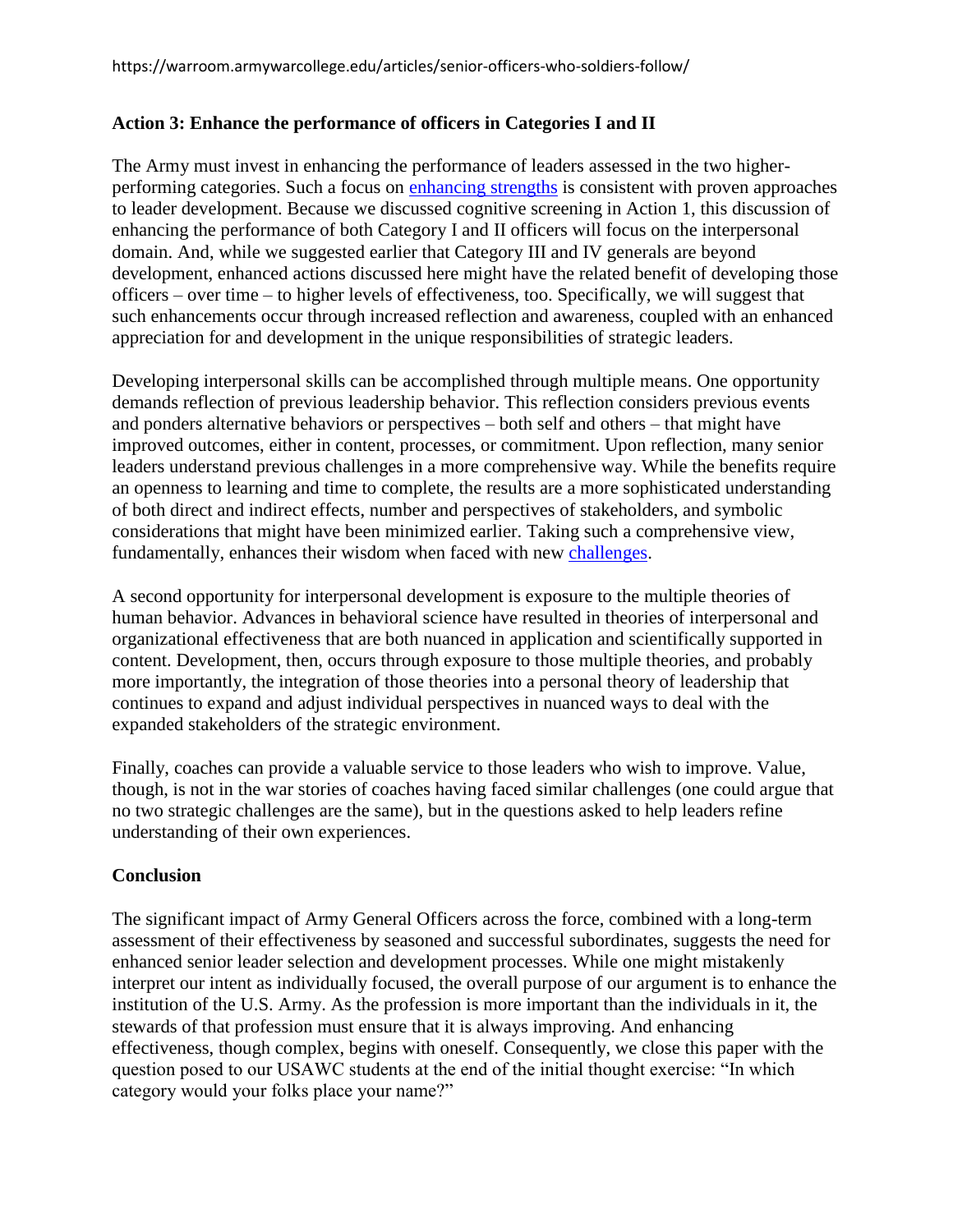#### **Action 3: Enhance the performance of officers in Categories I and II**

The Army must invest in enhancing the performance of leaders assessed in the two higherperforming categories. Such a focus on [enhancing strengths](https://books.google.com/books?id=mo67BwAAQBAJ&printsec=frontcover&dq=Marcus+Buckingham+First+Break+all+the+Rules).&hl=en&sa=X&ved=0ahUKEwi-pPfM-JrgAhUIhOAKHftJD_IQ6AEIKDAA#v=onepage&q=Marcus%20Buckingham%20First%20Break%20all%20the%20Rules).&f=false) is consistent with proven approaches to leader development. Because we discussed cognitive screening in Action 1, this discussion of enhancing the performance of both Category I and II officers will focus on the interpersonal domain. And, while we suggested earlier that Category III and IV generals are beyond development, enhanced actions discussed here might have the related benefit of developing those officers – over time – to higher levels of effectiveness, too. Specifically, we will suggest that such enhancements occur through increased reflection and awareness, coupled with an enhanced appreciation for and development in the unique responsibilities of strategic leaders.

Developing interpersonal skills can be accomplished through multiple means. One opportunity demands reflection of previous leadership behavior. This reflection considers previous events and ponders alternative behaviors or perspectives – both self and others – that might have improved outcomes, either in content, processes, or commitment. Upon reflection, many senior leaders understand previous challenges in a more comprehensive way. While the benefits require an openness to learning and time to complete, the results are a more sophisticated understanding of both direct and indirect effects, number and perspectives of stakeholders, and symbolic considerations that might have been minimized earlier. Taking such a comprehensive view, fundamentally, enhances their wisdom when faced with new [challenges.](https://books.google.com/books?id=SrsHuAAACAAJ&dq=strategic+leadership,+jacobs&hl=en&sa=X&ved=2ahUKEwj0xvO-4ZjgAhVET6wKHd1_B5YQ6AEwAHoECAAQAQ)

A second opportunity for interpersonal development is exposure to the multiple theories of human behavior. Advances in behavioral science have resulted in theories of interpersonal and organizational effectiveness that are both nuanced in application and scientifically supported in content. Development, then, occurs through exposure to those multiple theories, and probably more importantly, the integration of those theories into a personal theory of leadership that continues to expand and adjust individual perspectives in nuanced ways to deal with the expanded stakeholders of the strategic environment.

Finally, coaches can provide a valuable service to those leaders who wish to improve. Value, though, is not in the war stories of coaches having faced similar challenges (one could argue that no two strategic challenges are the same), but in the questions asked to help leaders refine understanding of their own experiences.

#### **Conclusion**

The significant impact of Army General Officers across the force, combined with a long-term assessment of their effectiveness by seasoned and successful subordinates, suggests the need for enhanced senior leader selection and development processes. While one might mistakenly interpret our intent as individually focused, the overall purpose of our argument is to enhance the institution of the U.S. Army. As the profession is more important than the individuals in it, the stewards of that profession must ensure that it is always improving. And enhancing effectiveness, though complex, begins with oneself. Consequently, we close this paper with the question posed to our USAWC students at the end of the initial thought exercise: "In which category would your folks place your name?"